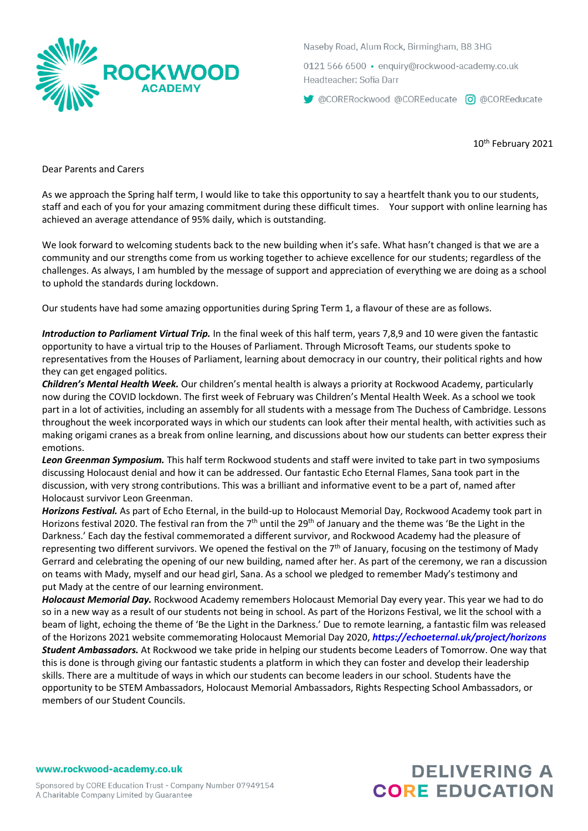

Naseby Road, Alum Rock, Birmingham, B8 3HG

0121 566 6500 · enquiry@rockwood-academy.co.uk Headteacher: Sofia Darr

CORERockwood @COREeducate c @ @COREeducate

10th February 2021

Dear Parents and Carers

As we approach the Spring half term, I would like to take this opportunity to say a heartfelt thank you to our students, staff and each of you for your amazing commitment during these difficult times. Your support with online learning has achieved an average attendance of 95% daily, which is outstanding.

We look forward to welcoming students back to the new building when it's safe. What hasn't changed is that we are a community and our strengths come from us working together to achieve excellence for our students; regardless of the challenges. As always, I am humbled by the message of support and appreciation of everything we are doing as a school to uphold the standards during lockdown.

Our students have had some amazing opportunities during Spring Term 1, a flavour of these are as follows.

*Introduction to Parliament Virtual Trip.* In the final week of this half term, years 7,8,9 and 10 were given the fantastic opportunity to have a virtual trip to the Houses of Parliament. Through Microsoft Teams, our students spoke to representatives from the Houses of Parliament, learning about democracy in our country, their political rights and how they can get engaged politics.

*Children's Mental Health Week.* Our children's mental health is always a priority at Rockwood Academy, particularly now during the COVID lockdown. The first week of February was Children's Mental Health Week. As a school we took part in a lot of activities, including an assembly for all students with a message from The Duchess of Cambridge. Lessons throughout the week incorporated ways in which our students can look after their mental health, with activities such as making origami cranes as a break from online learning, and discussions about how our students can better express their emotions.

*Leon Greenman Symposium.* This half term Rockwood students and staff were invited to take part in two symposiums discussing Holocaust denial and how it can be addressed. Our fantastic Echo Eternal Flames, Sana took part in the discussion, with very strong contributions. This was a brilliant and informative event to be a part of, named after Holocaust survivor Leon Greenman.

*Horizons Festival.* As part of Echo Eternal, in the build-up to Holocaust Memorial Day, Rockwood Academy took part in Horizons festival 2020. The festival ran from the 7<sup>th</sup> until the 29<sup>th</sup> of January and the theme was 'Be the Light in the Darkness.' Each day the festival commemorated a different survivor, and Rockwood Academy had the pleasure of representing two different survivors. We opened the festival on the 7<sup>th</sup> of January, focusing on the testimony of Mady Gerrard and celebrating the opening of our new building, named after her. As part of the ceremony, we ran a discussion on teams with Mady, myself and our head girl, Sana. As a school we pledged to remember Mady's testimony and put Mady at the centre of our learning environment.

*Holocaust Memorial Day.* Rockwood Academy remembers Holocaust Memorial Day every year. This year we had to do so in a new way as a result of our students not being in school. As part of the Horizons Festival, we lit the school with a beam of light, echoing the theme of 'Be the Light in the Darkness.' Due to remote learning, a fantastic film was released of the Horizons 2021 website commemorating Holocaust Memorial Day 2020, *https://echoeternal.uk/project/horizons Student Ambassadors.* At Rockwood we take pride in helping our students become Leaders of Tomorrow. One way that this is done is through giving our fantastic students a platform in which they can foster and develop their leadership skills. There are a multitude of ways in which our students can become leaders in our school. Students have the opportunity to be STEM Ambassadors, Holocaust Memorial Ambassadors, Rights Respecting School Ambassadors, or members of our Student Councils.

www.rockwood-academy.co.uk

# **DELIVERING A CORE EDUCATION**